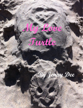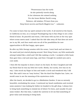"Perseverance has the turtle As she patiently travels along In her slowness she missed nothing For she hears Mother Earth's song Patience, old wisdom, I'll learn from you Deep forest secrets and Earth Magick true." - unknown

I've come to learn that my spirit animal is the turtle. It all started at the beach, in California no less, on a tranquil Thanksgiving trip to San Diego to see a dear friend of mine. So peaceful and warm, I felt home with my feet at the very spot where ocean meets sand. I asked that the tide take away all that does not serve me in my life, and then wash onto me all of the possibilities for new opportunities to fill that happy, open space.

So after my little therapy session with the ocean, I went back and sat down in the sand and just started playing around. Next thing I knew, my little sandcastle attempt looked like a shell and I felt like making a turtle. I sculpted a little head, then gave him a tail and some legs, and then I thought he needed eyes and a cute smile.

I then felt the impulse to draw a heart on his back. So then I laughed and told my friend that he was my little love turtle. Slowly, but surely, love was on its way. I also stuck my finger in him and made a circle and wondered why I did that. She said it was an "easy button," like the kind that Staples has. Later, we would come to see the meaning of the mysterious circle.

After the beach, we decided to go to a Meditation Garden. It was so serenely beautiful, overlooking the ocean. I continued my beach meditation and received some answers I was looking for before we headed to the gift shop. I always love to bring back something to remind me of where I've been, and usually it's just some trinket. But this time, I asked the universe to let me find something of great value and meaning to bring back.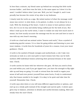In less than a minute, my friend came up behind me carrying this little turtle incense holder…and there was the hole, in the same space as I drew it in the sand. I couldn't believe what I just saw. Well, you bet I bought it, and it now proudly has become the center of my altar in my bedroom.

I clearly took the turtle as a sign. My initial instinct of what the message could mean was correct: to slow down, to be patient, to allow, to not always be in a rush. With the drawing of the heart, I took it to mean to have patience about love, for it is on its way and slowly being crafted just for the both of you. But when I read up on the turtle totem, I came to realize not only how much more it meant, but how scarily accurate the message was for me now and how in tune it was with my own heart's warning.

A turtle as a land and sea animal unites "heaven and earth," thus a symbol of awakening psychic senses. It is a time for going within and listening to your own inner wisdom. A turtle lives for hundreds of years for a reason; trust your inner guidance. Check.

A turtle is the symbol of female energies and motherhood, a role I take very seriously as took on a new soul path to teach women how they can be both mothers AND individual women achieving their personal dreams at the same time. Check.

A turtle carries its home with her wherever she goes. All that you need is from you and within you; and if you get tipped over, you have the strength to flip right side up and keep on going. It is safe to retreat from the world to regain your sense of self and even protect yourself from some hurts, if only to understand why that lesson needed to be taught. It is okay to be quiet and take time for yourself. Remember that. Check.

A turtle says slow down or you will miss different opportunities or options, and end up on a windy path instead of the straight and narrow path. A slower pace gives way to balance, attention to details and careful decision making. Slow and steady wins the race! Check.